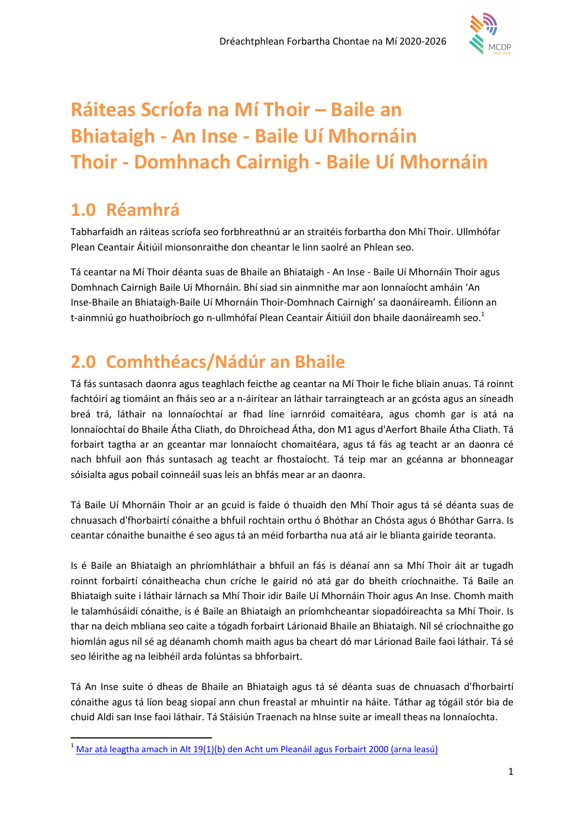

# Ráiteas Scríofa na Mí Thoir – Baile an Bhiataigh - An Inse - Baile Uí Mhornáin Thoir - Domhnach Cairnigh - Baile Uí Mhornáin

## 1.0 Réamhrá

 $\overline{a}$ 

Tabharfaidh an ráiteas scríofa seo forbhreathnú ar an straitéis forbartha don Mhí Thoir. Ullmhófar Plean Ceantair Áitiúil mionsonraithe don cheantar le linn saolré an Phlean seo.

Tá ceantar na Mí Thoir déanta suas de Bhaile an Bhiataigh - An Inse - Baile Uí Mhornáin Thoir agus Domhnach Cairnigh Baile Uí Mhornáin. Bhí siad sin ainmnithe mar aon lonnaíocht amháin 'An Inse-Bhaile an Bhiataigh-Baile Uí Mhornáin Thoir-Domhnach Cairnigh' sa daonáireamh. Éilíonn an t-ainmniú go huathoibríoch go n-ullmhófaí Plean Ceantair Áitiúil don bhaile daonáireamh seo.<sup>1</sup>

## 2.0 Comhthéacs/Nádúr an Bhaile

Tá fás suntasach daonra agus teaghlach feicthe ag ceantar na Mí Thoir le fiche bliain anuas. Tá roinnt fachtóirí ag tiomáint an fháis seo ar a n-áirítear an láthair tarraingteach ar an gcósta agus an síneadh breá trá, láthair na lonnaíochtaí ar fhad líne iarnróid comaitéara, agus chomh gar is atá na lonnaíochtaí do Bhaile Átha Cliath, do Dhroichead Átha, don M1 agus d'Aerfort Bhaile Átha Cliath. Tá forbairt tagtha ar an gceantar mar lonnaíocht chomaitéara, agus tá fás ag teacht ar an daonra cé nach bhfuil aon fhás suntasach ag teacht ar fhostaíocht. Tá teip mar an gcéanna ar bhonneagar sóisialta agus pobail coinneáil suas leis an bhfás mear ar an daonra.

Tá Baile Uí Mhornáin Thoir ar an gcuid is faide ó thuaidh den Mhí Thoir agus tá sé déanta suas de chnuasach d'fhorbairtí cónaithe a bhfuil rochtain orthu ó Bhóthar an Chósta agus ó Bhóthar Garra. Is ceantar cónaithe bunaithe é seo agus tá an méid forbartha nua atá air le blianta gairide teoranta.

Is é Baile an Bhiataigh an phríomhláthair a bhfuil an fás is déanaí ann sa Mhí Thoir áit ar tugadh roinnt forbairtí cónaitheacha chun críche le gairid nó atá gar do bheith críochnaithe. Tá Baile an Bhiataigh suite i láthair lárnach sa Mhí Thoir idir Baile Uí Mhornáin Thoir agus An Inse. Chomh maith le talamhúsáidí cónaithe, is é Baile an Bhiataigh an príomhcheantar siopadóireachta sa Mhí Thoir. Is thar na deich mbliana seo caite a tógadh forbairt Lárionaid Bhaile an Bhiataigh. Níl sé críochnaithe go hiomlán agus níl sé ag déanamh chomh maith agus ba cheart dó mar Lárionad Baile faoi láthair. Tá sé seo léirithe ag na leibhéil arda folúntas sa bhforbairt.

Tá An Inse suite ó dheas de Bhaile an Bhiataigh agus tá sé déanta suas de chnuasach d'fhorbairtí cónaithe agus tá líon beag siopaí ann chun freastal ar mhuintir na háite. Táthar ag tógáil stór bia de chuid Aldi san Inse faoi láthair. Tá Stáisiún Traenach na hInse suite ar imeall theas na lonnaíochta.

<sup>1</sup> Mar atá leagtha amach in Alt 19(1)(b) den Acht um Pleanáil agus Forbairt 2000 (arna leasú)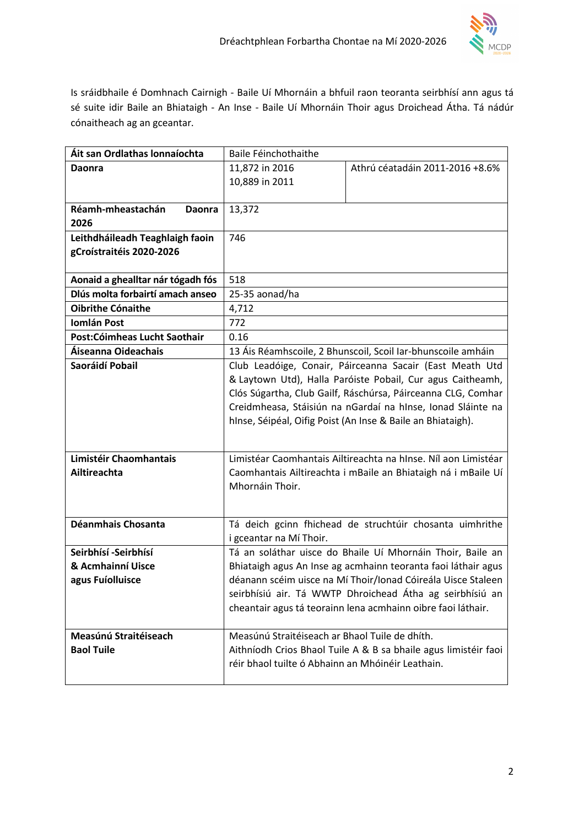

Is sráidbhaile é Domhnach Cairnigh - Baile Uí Mhornáin a bhfuil raon teoranta seirbhísí ann agus tá sé suite idir Baile an Bhiataigh - An Inse - Baile Uí Mhornáin Thoir agus Droichead Átha. Tá nádúr cónaitheach ag an gceantar.

| Áit san Ordlathas Ionnaíochta      | Baile Féinchothaithe                                            |                                                              |
|------------------------------------|-----------------------------------------------------------------|--------------------------------------------------------------|
| Daonra                             | 11,872 in 2016                                                  | Athrú céatadáin 2011-2016 +8.6%                              |
|                                    | 10,889 in 2011                                                  |                                                              |
|                                    |                                                                 |                                                              |
| Réamh-mheastachán<br><b>Daonra</b> | 13,372                                                          |                                                              |
| 2026                               |                                                                 |                                                              |
| Leithdháileadh Teaghlaigh faoin    | 746                                                             |                                                              |
| gCroístraitéis 2020-2026           |                                                                 |                                                              |
|                                    |                                                                 |                                                              |
| Aonaid a ghealltar nár tógadh fós  | 518                                                             |                                                              |
| Dlús molta forbairtí amach anseo   | 25-35 aonad/ha                                                  |                                                              |
| <b>Oibrithe Cónaithe</b>           | 4,712                                                           |                                                              |
| <b>Iomlán Post</b>                 | 772                                                             |                                                              |
| Post:Cóimheas Lucht Saothair       | 0.16                                                            |                                                              |
| Áiseanna Oideachais                | 13 Áis Réamhscoile, 2 Bhunscoil, Scoil Iar-bhunscoile amháin    |                                                              |
| Saoráidí Pobail                    | Club Leadóige, Conair, Páirceanna Sacair (East Meath Utd        |                                                              |
|                                    | & Laytown Utd), Halla Paróiste Pobail, Cur agus Caitheamh,      |                                                              |
|                                    | Clós Súgartha, Club Gailf, Ráschúrsa, Páirceanna CLG, Comhar    |                                                              |
|                                    | Creidmheasa, Stáisiún na nGardaí na hInse, Ionad Sláinte na     |                                                              |
|                                    | hInse, Séipéal, Oifig Poist (An Inse & Baile an Bhiataigh).     |                                                              |
|                                    |                                                                 |                                                              |
| Limistéir Chaomhantais             |                                                                 |                                                              |
|                                    | Limistéar Caomhantais Ailtireachta na hInse. Níl aon Limistéar  |                                                              |
| Ailtireachta                       | Caomhantais Ailtireachta i mBaile an Bhiataigh ná i mBaile Uí   |                                                              |
|                                    | Mhornáin Thoir.                                                 |                                                              |
|                                    |                                                                 |                                                              |
| Déanmhais Chosanta                 | Tá deich gcinn fhichead de struchtúir chosanta uimhrithe        |                                                              |
|                                    | i gceantar na Mí Thoir.                                         |                                                              |
| Seirbhísí -Seirbhísí               |                                                                 | Tá an soláthar uisce do Bhaile Uí Mhornáin Thoir, Baile an   |
| & Acmhainní Uisce                  | Bhiataigh agus An Inse ag acmhainn teoranta faoi láthair agus   |                                                              |
| agus Fuíolluisce                   |                                                                 | déanann scéim uisce na Mí Thoir/Ionad Cóireála Uisce Staleen |
|                                    |                                                                 | seirbhísiú air. Tá WWTP Dhroichead Átha ag seirbhísiú an     |
|                                    |                                                                 | cheantair agus tá teorainn lena acmhainn oibre faoi láthair. |
|                                    |                                                                 |                                                              |
| Measúnú Straitéiseach              | Measúnú Straitéiseach ar Bhaol Tuile de dhíth.                  |                                                              |
| <b>Baol Tuile</b>                  | Aithníodh Crios Bhaol Tuile A & B sa bhaile agus limistéir faoi |                                                              |
|                                    | réir bhaol tuilte ó Abhainn an Mhóinéir Leathain.               |                                                              |
|                                    |                                                                 |                                                              |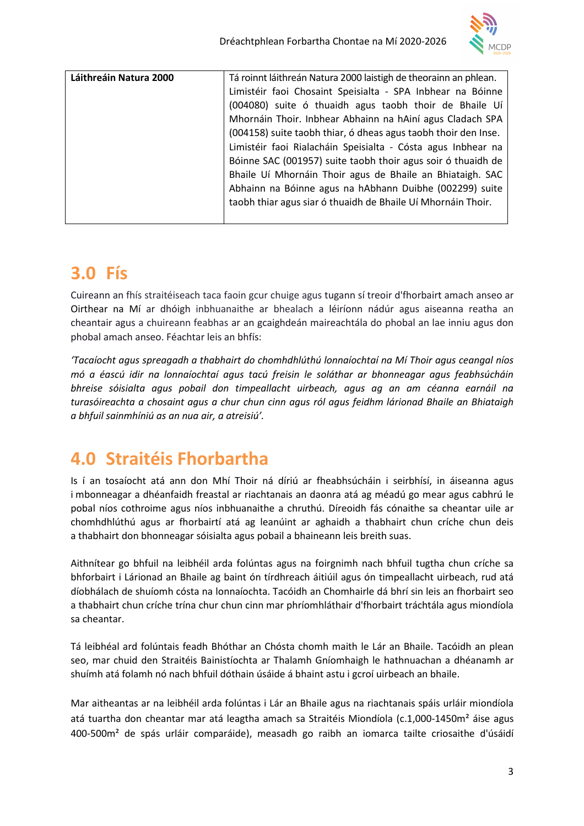

| Láithreáin Natura 2000 | Tá roinnt láithreán Natura 2000 laistigh de theorainn an phlean. |
|------------------------|------------------------------------------------------------------|
|                        | Limistéir faoi Chosaint Speisialta - SPA Inbhear na Bóinne       |
|                        | (004080) suite ó thuaidh agus taobh thoir de Bhaile Uí           |
|                        | Mhornáin Thoir. Inbhear Abhainn na hAiní agus Cladach SPA        |
|                        | (004158) suite taobh thiar, ó dheas agus taobh thoir den Inse.   |
|                        | Limistéir faoi Rialacháin Speisialta - Cósta agus Inbhear na     |
|                        | Bóinne SAC (001957) suite taobh thoir agus soir ó thuaidh de     |
|                        | Bhaile Uí Mhornáin Thoir agus de Bhaile an Bhiataigh. SAC        |
|                        | Abhainn na Bóinne agus na hAbhann Duibhe (002299) suite          |
|                        | taobh thiar agus siar ó thuaidh de Bhaile Uí Mhornáin Thoir.     |
|                        |                                                                  |

### 3.0 Fís

Cuireann an fhís straitéiseach taca faoin gcur chuige agus tugann sí treoir d'fhorbairt amach anseo ar Oirthear na Mí ar dhóigh inbhuanaithe ar bhealach a léiríonn nádúr agus aiseanna reatha an cheantair agus a chuireann feabhas ar an gcaighdeán maireachtála do phobal an lae inniu agus don phobal amach anseo. Féachtar leis an bhfís:

'Tacaíocht agus spreagadh a thabhairt do chomhdhlúthú lonnaíochtaí na Mí Thoir agus ceangal níos mó a éascú idir na lonnaíochtaí agus tacú freisin le soláthar ar bhonneagar agus feabhsúcháin bhreise sóisialta agus pobail don timpeallacht uirbeach, agus ag an am céanna earnáil na turasóireachta a chosaint agus a chur chun cinn agus ról agus feidhm lárionad Bhaile an Bhiataigh a bhfuil sainmhíniú as an nua air, a atreisiú'.

## 4.0 Straitéis Fhorbartha

Is í an tosaíocht atá ann don Mhí Thoir ná díriú ar fheabhsúcháin i seirbhísí, in áiseanna agus i mbonneagar a dhéanfaidh freastal ar riachtanais an daonra atá ag méadú go mear agus cabhrú le pobal níos cothroime agus níos inbhuanaithe a chruthú. Díreoidh fás cónaithe sa cheantar uile ar chomhdhlúthú agus ar fhorbairtí atá ag leanúint ar aghaidh a thabhairt chun críche chun deis a thabhairt don bhonneagar sóisialta agus pobail a bhaineann leis breith suas.

Aithnítear go bhfuil na leibhéil arda folúntas agus na foirgnimh nach bhfuil tugtha chun críche sa bhforbairt i Lárionad an Bhaile ag baint ón tírdhreach áitiúil agus ón timpeallacht uirbeach, rud atá díobhálach de shuíomh cósta na lonnaíochta. Tacóidh an Chomhairle dá bhrí sin leis an fhorbairt seo a thabhairt chun críche trína chur chun cinn mar phríomhláthair d'fhorbairt tráchtála agus miondíola sa cheantar.

Tá leibhéal ard folúntais feadh Bhóthar an Chósta chomh maith le Lár an Bhaile. Tacóidh an plean seo, mar chuid den Straitéis Bainistíochta ar Thalamh Gníomhaigh le hathnuachan a dhéanamh ar shuímh atá folamh nó nach bhfuil dóthain úsáide á bhaint astu i gcroí uirbeach an bhaile.

Mar aitheantas ar na leibhéil arda folúntas i Lár an Bhaile agus na riachtanais spáis urláir miondíola atá tuartha don cheantar mar atá leagtha amach sa Straitéis Miondíola (c.1,000-1450m² áise agus 400-500m² de spás urláir comparáide), measadh go raibh an iomarca tailte criosaithe d'úsáidí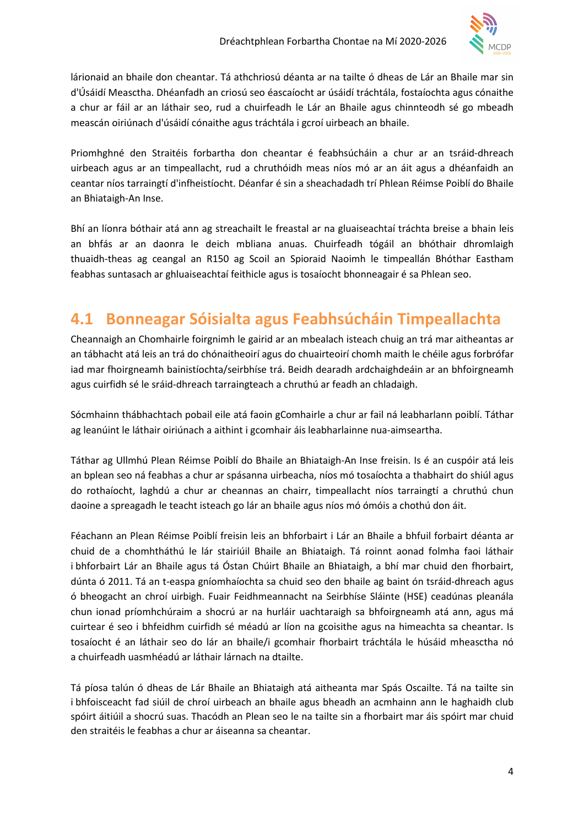

lárionaid an bhaile don cheantar. Tá athchriosú déanta ar na tailte ó dheas de Lár an Bhaile mar sin d'Úsáidí Measctha. Dhéanfadh an criosú seo éascaíocht ar úsáidí tráchtála, fostaíochta agus cónaithe a chur ar fáil ar an láthair seo, rud a chuirfeadh le Lár an Bhaile agus chinnteodh sé go mbeadh meascán oiriúnach d'úsáidí cónaithe agus tráchtála i gcroí uirbeach an bhaile.

Priomhghné den Straitéis forbartha don cheantar é feabhsúcháin a chur ar an tsráid-dhreach uirbeach agus ar an timpeallacht, rud a chruthóidh meas níos mó ar an áit agus a dhéanfaidh an ceantar níos tarraingtí d'infheistíocht. Déanfar é sin a sheachadadh trí Phlean Réimse Poiblí do Bhaile an Bhiataigh-An Inse.

Bhí an líonra bóthair atá ann ag streachailt le freastal ar na gluaiseachtaí tráchta breise a bhain leis an bhfás ar an daonra le deich mbliana anuas. Chuirfeadh tógáil an bhóthair dhromlaigh thuaidh-theas ag ceangal an R150 ag Scoil an Spioraid Naoimh le timpeallán Bhóthar Eastham feabhas suntasach ar ghluaiseachtaí feithicle agus is tosaíocht bhonneagair é sa Phlean seo.

#### 4.1 Bonneagar Sóisialta agus Feabhsúcháin Timpeallachta

Cheannaigh an Chomhairle foirgnimh le gairid ar an mbealach isteach chuig an trá mar aitheantas ar an tábhacht atá leis an trá do chónaitheoirí agus do chuairteoirí chomh maith le chéile agus forbrófar iad mar fhoirgneamh bainistíochta/seirbhíse trá. Beidh dearadh ardchaighdeáin ar an bhfoirgneamh agus cuirfidh sé le sráid-dhreach tarraingteach a chruthú ar feadh an chladaigh.

Sócmhainn thábhachtach pobail eile atá faoin gComhairle a chur ar fail ná leabharlann poiblí. Táthar ag leanúint le láthair oiriúnach a aithint i gcomhair áis leabharlainne nua-aimseartha.

Táthar ag Ullmhú Plean Réimse Poiblí do Bhaile an Bhiataigh-An Inse freisin. Is é an cuspóir atá leis an bplean seo ná feabhas a chur ar spásanna uirbeacha, níos mó tosaíochta a thabhairt do shiúl agus do rothaíocht, laghdú a chur ar cheannas an chairr, timpeallacht níos tarraingtí a chruthú chun daoine a spreagadh le teacht isteach go lár an bhaile agus níos mó ómóis a chothú don áit.

Féachann an Plean Réimse Poiblí freisin leis an bhforbairt i Lár an Bhaile a bhfuil forbairt déanta ar chuid de a chomhtháthú le lár stairiúil Bhaile an Bhiataigh. Tá roinnt aonad folmha faoi láthair i bhforbairt Lár an Bhaile agus tá Óstan Chúirt Bhaile an Bhiataigh, a bhí mar chuid den fhorbairt, dúnta ó 2011. Tá an t-easpa gníomhaíochta sa chuid seo den bhaile ag baint ón tsráid-dhreach agus ó bheogacht an chroí uirbigh. Fuair Feidhmeannacht na Seirbhíse Sláinte (HSE) ceadúnas pleanála chun ionad príomhchúraim a shocrú ar na hurláir uachtaraigh sa bhfoirgneamh atá ann, agus má cuirtear é seo i bhfeidhm cuirfidh sé méadú ar líon na gcoisithe agus na himeachta sa cheantar. Is tosaíocht é an láthair seo do lár an bhaile/i gcomhair fhorbairt tráchtála le húsáid mheasctha nó a chuirfeadh uasmhéadú ar láthair lárnach na dtailte.

Tá píosa talún ó dheas de Lár Bhaile an Bhiataigh atá aitheanta mar Spás Oscailte. Tá na tailte sin i bhfoisceacht fad siúil de chroí uirbeach an bhaile agus bheadh an acmhainn ann le haghaidh club spóirt áitiúil a shocrú suas. Thacódh an Plean seo le na tailte sin a fhorbairt mar áis spóirt mar chuid den straitéis le feabhas a chur ar áiseanna sa cheantar.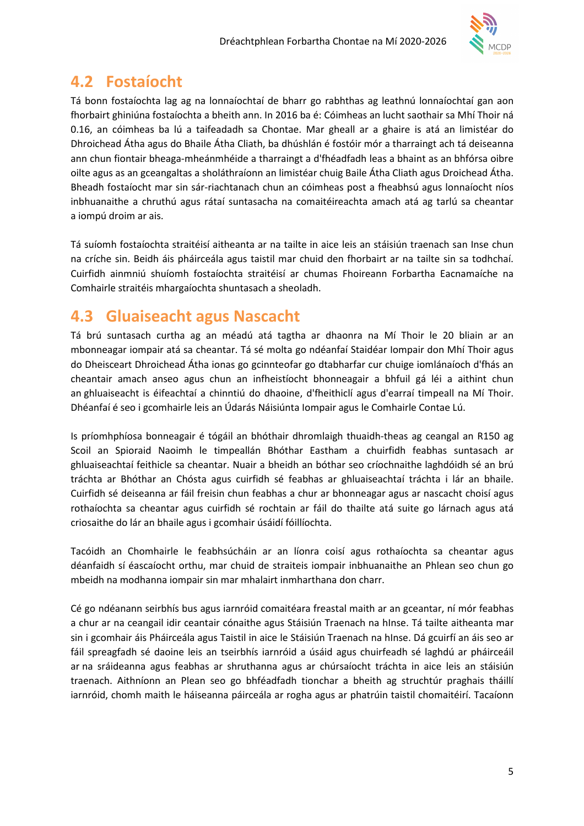

### 4.2 Fostaíocht

Tá bonn fostaíochta lag ag na lonnaíochtaí de bharr go rabhthas ag leathnú lonnaíochtaí gan aon fhorbairt ghiniúna fostaíochta a bheith ann. In 2016 ba é: Cóimheas an lucht saothair sa Mhí Thoir ná 0.16, an cóimheas ba lú a taifeadadh sa Chontae. Mar gheall ar a ghaire is atá an limistéar do Dhroichead Átha agus do Bhaile Átha Cliath, ba dhúshlán é fostóir mór a tharraingt ach tá deiseanna ann chun fiontair bheaga-mheánmhéide a tharraingt a d'fhéadfadh leas a bhaint as an bhfórsa oibre oilte agus as an gceangaltas a sholáthraíonn an limistéar chuig Baile Átha Cliath agus Droichead Átha. Bheadh fostaíocht mar sin sár-riachtanach chun an cóimheas post a fheabhsú agus lonnaíocht níos inbhuanaithe a chruthú agus rátaí suntasacha na comaitéireachta amach atá ag tarlú sa cheantar a iompú droim ar ais.

Tá suíomh fostaíochta straitéisí aitheanta ar na tailte in aice leis an stáisiún traenach san Inse chun na críche sin. Beidh áis pháirceála agus taistil mar chuid den fhorbairt ar na tailte sin sa todhchaí. Cuirfidh ainmniú shuíomh fostaíochta straitéisí ar chumas Fhoireann Forbartha Eacnamaíche na Comhairle straitéis mhargaíochta shuntasach a sheoladh.

#### 4.3 Gluaiseacht agus Nascacht

Tá brú suntasach curtha ag an méadú atá tagtha ar dhaonra na Mí Thoir le 20 bliain ar an mbonneagar iompair atá sa cheantar. Tá sé molta go ndéanfaí Staidéar Iompair don Mhí Thoir agus do Dheisceart Dhroichead Átha ionas go gcinnteofar go dtabharfar cur chuige iomlánaíoch d'fhás an cheantair amach anseo agus chun an infheistíocht bhonneagair a bhfuil gá léi a aithint chun an ghluaiseacht is éifeachtaí a chinntiú do dhaoine, d'fheithiclí agus d'earraí timpeall na Mí Thoir. Dhéanfaí é seo i gcomhairle leis an Údarás Náisiúnta Iompair agus le Comhairle Contae Lú.

Is príomhphíosa bonneagair é tógáil an bhóthair dhromlaigh thuaidh-theas ag ceangal an R150 ag Scoil an Spioraid Naoimh le timpeallán Bhóthar Eastham a chuirfidh feabhas suntasach ar ghluaiseachtaí feithicle sa cheantar. Nuair a bheidh an bóthar seo críochnaithe laghdóidh sé an brú tráchta ar Bhóthar an Chósta agus cuirfidh sé feabhas ar ghluaiseachtaí tráchta i lár an bhaile. Cuirfidh sé deiseanna ar fáil freisin chun feabhas a chur ar bhonneagar agus ar nascacht choisí agus rothaíochta sa cheantar agus cuirfidh sé rochtain ar fáil do thailte atá suite go lárnach agus atá criosaithe do lár an bhaile agus i gcomhair úsáidí fóillíochta.

Tacóidh an Chomhairle le feabhsúcháin ar an líonra coisí agus rothaíochta sa cheantar agus déanfaidh sí éascaíocht orthu, mar chuid de straiteis iompair inbhuanaithe an Phlean seo chun go mbeidh na modhanna iompair sin mar mhalairt inmharthana don charr.

Cé go ndéanann seirbhís bus agus iarnróid comaitéara freastal maith ar an gceantar, ní mór feabhas a chur ar na ceangail idir ceantair cónaithe agus Stáisiún Traenach na hInse. Tá tailte aitheanta mar sin i gcomhair áis Pháirceála agus Taistil in aice le Stáisiún Traenach na hInse. Dá gcuirfí an áis seo ar fáil spreagfadh sé daoine leis an tseirbhís iarnróid a úsáid agus chuirfeadh sé laghdú ar pháirceáil ar na sráideanna agus feabhas ar shruthanna agus ar chúrsaíocht tráchta in aice leis an stáisiún traenach. Aithníonn an Plean seo go bhféadfadh tionchar a bheith ag struchtúr praghais tháillí iarnróid, chomh maith le háiseanna páirceála ar rogha agus ar phatrúin taistil chomaitéirí. Tacaíonn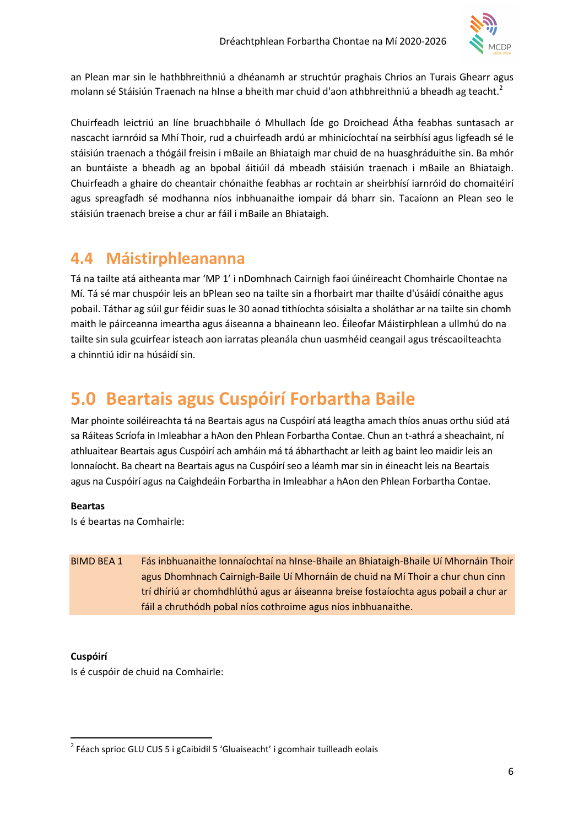

an Plean mar sin le hathbhreithniú a dhéanamh ar struchtúr praghais Chrios an Turais Ghearr agus molann sé Stáisiún Traenach na hInse a bheith mar chuid d'aon athbhreithniú a bheadh ag teacht.<sup>2</sup>

Chuirfeadh leictriú an líne bruachbhaile ó Mhullach Íde go Droichead Átha feabhas suntasach ar nascacht iarnróid sa Mhí Thoir, rud a chuirfeadh ardú ar mhinicíochtaí na seirbhísí agus ligfeadh sé le stáisiún traenach a thógáil freisin i mBaile an Bhiataigh mar chuid de na huasghráduithe sin. Ba mhór an buntáiste a bheadh ag an bpobal áitiúil dá mbeadh stáisiún traenach i mBaile an Bhiataigh. Chuirfeadh a ghaire do cheantair chónaithe feabhas ar rochtain ar sheirbhísí iarnróid do chomaitéirí agus spreagfadh sé modhanna níos inbhuanaithe iompair dá bharr sin. Tacaíonn an Plean seo le stáisiún traenach breise a chur ar fáil i mBaile an Bhiataigh.

#### 4.4 Máistirphleananna

Tá na tailte atá aitheanta mar 'MP 1' i nDomhnach Cairnigh faoi úinéireacht Chomhairle Chontae na Mí. Tá sé mar chuspóir leis an bPlean seo na tailte sin a fhorbairt mar thailte d'úsáidí cónaithe agus pobail. Táthar ag súil gur féidir suas le 30 aonad tithíochta sóisialta a sholáthar ar na tailte sin chomh maith le páirceanna imeartha agus áiseanna a bhaineann leo. Éileofar Máistirphlean a ullmhú do na tailte sin sula gcuirfear isteach aon iarratas pleanála chun uasmhéid ceangail agus tréscaoilteachta a chinntiú idir na húsáidí sin.

## 5.0 Beartais agus Cuspóirí Forbartha Baile

Mar phointe soiléireachta tá na Beartais agus na Cuspóirí atá leagtha amach thíos anuas orthu siúd atá sa Ráiteas Scríofa in Imleabhar a hAon den Phlean Forbartha Contae. Chun an t-athrá a sheachaint, ní athluaitear Beartais agus Cuspóirí ach amháin má tá ábharthacht ar leith ag baint leo maidir leis an lonnaíocht. Ba cheart na Beartais agus na Cuspóirí seo a léamh mar sin in éineacht leis na Beartais agus na Cuspóirí agus na Caighdeáin Forbartha in Imleabhar a hAon den Phlean Forbartha Contae.

#### Beartas

Is é beartas na Comhairle:

BIMD BEA 1 Fás inbhuanaithe lonnaíochtaí na hInse-Bhaile an Bhiataigh-Bhaile Uí Mhornáin Thoir agus Dhomhnach Cairnigh-Baile Uí Mhornáin de chuid na Mí Thoir a chur chun cinn trí dhíriú ar chomhdhlúthú agus ar áiseanna breise fostaíochta agus pobail a chur ar fáil a chruthódh pobal níos cothroime agus níos inbhuanaithe.

#### Cuspóirí

 $\overline{a}$ 

Is é cuspóir de chuid na Comhairle:

<sup>&</sup>lt;sup>2</sup> Féach sprioc GLU CUS 5 i gCaibidil 5 'Gluaiseacht' i gcomhair tuilleadh eolais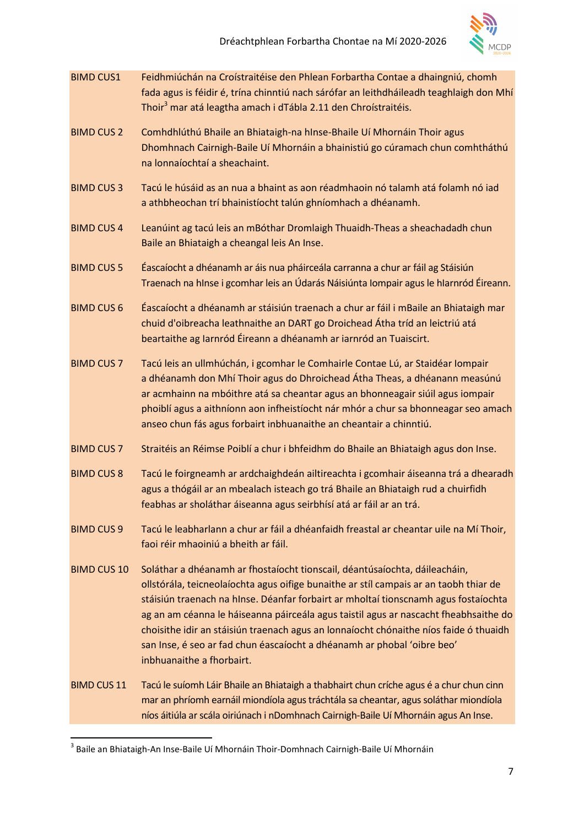

- BIMD CUS1 Feidhmiúchán na Croístraitéise den Phlean Forbartha Contae a dhaingniú, chomh fada agus is féidir é, trína chinntiú nach sárófar an leithdháileadh teaghlaigh don Mhí Thoir<sup>3</sup> mar atá leagtha amach i dTábla 2.11 den Chroístraitéis.
- BIMD CUS 2 Comhdhlúthú Bhaile an Bhiataigh-na hInse-Bhaile Uí Mhornáin Thoir agus Dhomhnach Cairnigh-Baile Uí Mhornáin a bhainistiú go cúramach chun comhtháthú na lonnaíochtaí a sheachaint.
- BIMD CUS 3 Tacú le húsáid as an nua a bhaint as aon réadmhaoin nó talamh atá folamh nó iad a athbheochan trí bhainistíocht talún ghníomhach a dhéanamh.
- BIMD CUS 4 Leanúint ag tacú leis an mBóthar Dromlaigh Thuaidh-Theas a sheachadadh chun Baile an Bhiataigh a cheangal leis An Inse.
- BIMD CUS 5 Éascaíocht a dhéanamh ar áis nua pháirceála carranna a chur ar fáil ag Stáisiún Traenach na hInse i gcomhar leis an Údarás Náisiúnta Iompair agus le hIarnród Éireann.
- BIMD CUS 6 Éascaíocht a dhéanamh ar stáisiún traenach a chur ar fáil i mBaile an Bhiataigh mar chuid d'oibreacha leathnaithe an DART go Droichead Átha tríd an leictriú atá beartaithe ag Iarnród Éireann a dhéanamh ar iarnród an Tuaiscirt.
- BIMD CUS 7 Tacú leis an ullmhúchán, i gcomhar le Comhairle Contae Lú, ar Staidéar Iompair a dhéanamh don Mhí Thoir agus do Dhroichead Átha Theas, a dhéanann measúnú ar acmhainn na mbóithre atá sa cheantar agus an bhonneagair siúil agus iompair phoiblí agus a aithníonn aon infheistíocht nár mhór a chur sa bhonneagar seo amach anseo chun fás agus forbairt inbhuanaithe an cheantair a chinntiú.
- BIMD CUS 7 Straitéis an Réimse Poiblí a chur i bhfeidhm do Bhaile an Bhiataigh agus don Inse.
- BIMD CUS 8 Tacú le foirgneamh ar ardchaighdeán ailtireachta i gcomhair áiseanna trá a dhearadh agus a thógáil ar an mbealach isteach go trá Bhaile an Bhiataigh rud a chuirfidh feabhas ar sholáthar áiseanna agus seirbhísí atá ar fáil ar an trá.
- BIMD CUS 9 Tacú le leabharlann a chur ar fáil a dhéanfaidh freastal ar cheantar uile na Mí Thoir, faoi réir mhaoiniú a bheith ar fáil.
- BIMD CUS 10 Soláthar a dhéanamh ar fhostaíocht tionscail, déantúsaíochta, dáileacháin, ollstórála, teicneolaíochta agus oifige bunaithe ar stíl campais ar an taobh thiar de stáisiún traenach na hInse. Déanfar forbairt ar mholtaí tionscnamh agus fostaíochta ag an am céanna le háiseanna páirceála agus taistil agus ar nascacht fheabhsaithe do choisithe idir an stáisiún traenach agus an lonnaíocht chónaithe níos faide ó thuaidh san Inse, é seo ar fad chun éascaíocht a dhéanamh ar phobal 'oibre beo' inbhuanaithe a fhorbairt.
- BIMD CUS 11 Tacú le suíomh Láir Bhaile an Bhiataigh a thabhairt chun críche agus é a chur chun cinn mar an phríomh earnáil miondíola agus tráchtála sa cheantar, agus soláthar miondíola níos áitiúla ar scála oiriúnach i nDomhnach Cairnigh-Baile Uí Mhornáin agus An Inse.

 $\overline{a}$ 

 $^3$  Baile an Bhiataigh-An Inse-Baile Uí Mhornáin Thoir-Domhnach Cairnigh-Baile Uí Mhornáin